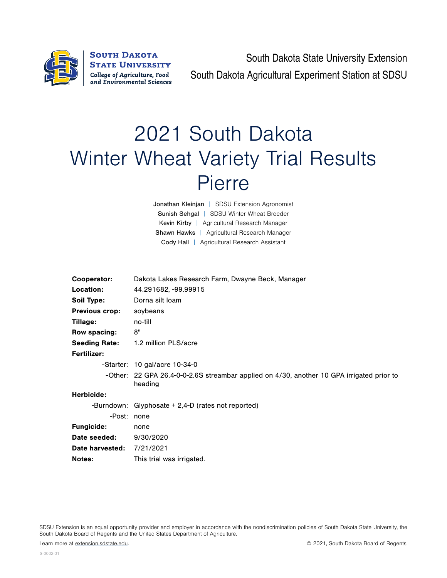

South Dakota State University Extension South Dakota Agricultural Experiment Station at SDSU

## 2021 South Dakota Winter Wheat Variety Trial Results Pierre

Jonathan Kleinjan | SDSU Extension Agronomist Sunish Sehgal | SDSU Winter Wheat Breeder Kevin Kirby | Agricultural Research Manager Shawn Hawks | Agricultural Research Manager Cody Hall | Agricultural Research Assistant

| Cooperator:           | Dakota Lakes Research Farm, Dwayne Beck, Manager                                                     |  |  |  |  |  |
|-----------------------|------------------------------------------------------------------------------------------------------|--|--|--|--|--|
| Location:             | 44.291682, -99.99915                                                                                 |  |  |  |  |  |
| Soil Type:            | Dorna silt Ioam                                                                                      |  |  |  |  |  |
| <b>Previous crop:</b> | soybeans                                                                                             |  |  |  |  |  |
| Tillage:              | no-till                                                                                              |  |  |  |  |  |
| Row spacing:          | 8"                                                                                                   |  |  |  |  |  |
| <b>Seeding Rate:</b>  | 1.2 million PLS/acre                                                                                 |  |  |  |  |  |
| <b>Fertilizer:</b>    |                                                                                                      |  |  |  |  |  |
|                       | $-$ Starter: 10 gal/acre 10-34-0                                                                     |  |  |  |  |  |
|                       | -Other: 22 GPA 26.4-0-0-2.6S streambar applied on 4/30, another 10 GPA irrigated prior to<br>heading |  |  |  |  |  |
| Herbicide:            |                                                                                                      |  |  |  |  |  |
|                       | -Burndown: Glyphosate $+ 2,4$ -D (rates not reported)                                                |  |  |  |  |  |
| -Post: none           |                                                                                                      |  |  |  |  |  |
| <b>Fungicide:</b>     | none                                                                                                 |  |  |  |  |  |
| Date seeded:          | 9/30/2020                                                                                            |  |  |  |  |  |
| Date harvested:       | 7/21/2021                                                                                            |  |  |  |  |  |
| Notes:                | This trial was irrigated.                                                                            |  |  |  |  |  |

SDSU Extension is an equal opportunity provider and employer in accordance with the nondiscrimination policies of South Dakota State University, the South Dakota Board of Regents and the United States Department of Agriculture.